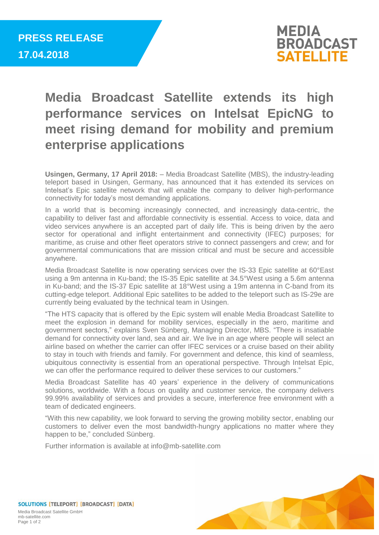

## **Media Broadcast Satellite extends its high performance services on Intelsat EpicNG to meet rising demand for mobility and premium enterprise applications**

**Usingen, Germany, 17 April 2018:** – Media Broadcast Satellite (MBS), the industry-leading teleport based in Usingen, Germany, has announced that it has extended its services on Intelsat's Epic satellite network that will enable the company to deliver high-performance connectivity for today's most demanding applications.

In a world that is becoming increasingly connected, and increasingly data-centric, the capability to deliver fast and affordable connectivity is essential. Access to voice, data and video services anywhere is an accepted part of daily life. This is being driven by the aero sector for operational and inflight entertainment and connectivity (IFEC) purposes; for maritime, as cruise and other fleet operators strive to connect passengers and crew; and for governmental communications that are mission critical and must be secure and accessible anywhere.

Media Broadcast Satellite is now operating services over the IS-33 Epic satellite at 60°East using a 9m antenna in Ku-band; the IS-35 Epic satellite at 34.5°West using a 5.6m antenna in Ku-band; and the IS-37 Epic satellite at 18°West using a 19m antenna in C-band from its cutting-edge teleport. Additional Epic satellites to be added to the teleport such as IS-29e are currently being evaluated by the technical team in Usingen.

"The HTS capacity that is offered by the Epic system will enable Media Broadcast Satellite to meet the explosion in demand for mobility services, especially in the aero, maritime and government sectors," explains Sven Sünberg, Managing Director, MBS. "There is insatiable demand for connectivity over land, sea and air. We live in an age where people will select an airline based on whether the carrier can offer IFEC services or a cruise based on their ability to stay in touch with friends and family. For government and defence, this kind of seamless, ubiquitous connectivity is essential from an operational perspective. Through Intelsat Epic, we can offer the performance required to deliver these services to our customers."

Media Broadcast Satellite has 40 years' experience in the delivery of communications solutions, worldwide. With a focus on quality and customer service, the company delivers 99.99% availability of services and provides a secure, interference free environment with a team of dedicated engineers.

"With this new capability, we look forward to serving the growing mobility sector, enabling our customers to deliver even the most bandwidth-hungry applications no matter where they happen to be," concluded Sünberg.

Further information is available at info@mb-satellite.com